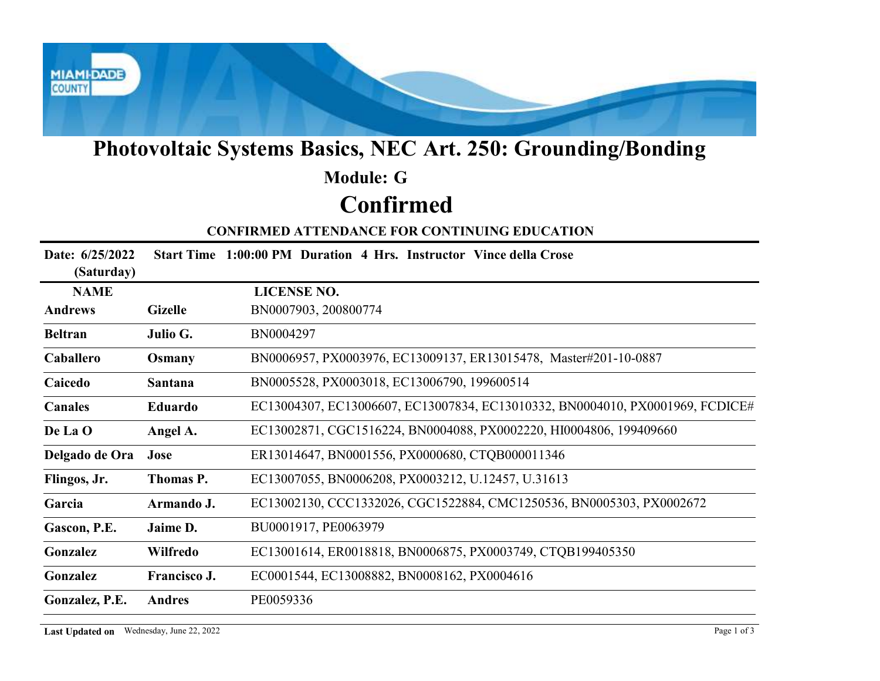

## Photovoltaic Systems Basics, NEC Art. 250: Grounding/Bonding

### Confirmed Module: G

| <b>Photovoltaic Systems Basics, NEC Art. 250: Grounding/Bonding</b>      |                |                                                                               |  |  |  |
|--------------------------------------------------------------------------|----------------|-------------------------------------------------------------------------------|--|--|--|
|                                                                          |                | <b>Module: G</b>                                                              |  |  |  |
| <b>Confirmed</b><br><b>CONFIRMED ATTENDANCE FOR CONTINUING EDUCATION</b> |                |                                                                               |  |  |  |
|                                                                          |                |                                                                               |  |  |  |
| <b>NAME</b>                                                              |                | <b>LICENSE NO.</b>                                                            |  |  |  |
| <b>Andrews</b>                                                           | <b>Gizelle</b> | BN0007903, 200800774                                                          |  |  |  |
| <b>Beltran</b>                                                           | Julio G.       | BN0004297                                                                     |  |  |  |
| Caballero                                                                | Osmany         | BN0006957, PX0003976, EC13009137, ER13015478, Master#201-10-0887              |  |  |  |
| Caicedo                                                                  | Santana        | BN0005528, PX0003018, EC13006790, 199600514                                   |  |  |  |
| <b>Canales</b>                                                           | Eduardo        | EC13004307, EC13006607, EC13007834, EC13010332, BN0004010, PX0001969, FCDICE# |  |  |  |
| De La O                                                                  | Angel A.       | EC13002871, CGC1516224, BN0004088, PX0002220, HI0004806, 199409660            |  |  |  |
| Delgado de Ora                                                           | Jose           | ER13014647, BN0001556, PX0000680, CTQB000011346                               |  |  |  |
| Flingos, Jr.                                                             | Thomas P.      | EC13007055, BN0006208, PX0003212, U.12457, U.31613                            |  |  |  |
| Garcia                                                                   | Armando J.     | EC13002130, CCC1332026, CGC1522884, CMC1250536, BN0005303, PX0002672          |  |  |  |
| Gascon, P.E.                                                             | Jaime D.       | BU0001917, PE0063979                                                          |  |  |  |
| Gonzalez                                                                 | Wilfredo       | EC13001614, ER0018818, BN0006875, PX0003749, CTQB199405350                    |  |  |  |
| Gonzalez                                                                 | Francisco J.   | EC0001544, EC13008882, BN0008162, PX0004616                                   |  |  |  |
| Gonzalez, P.E.                                                           | Andres         | PE0059336                                                                     |  |  |  |
| Last Updated on Wednesday, June 22, 2022                                 |                | Page 1 of 3                                                                   |  |  |  |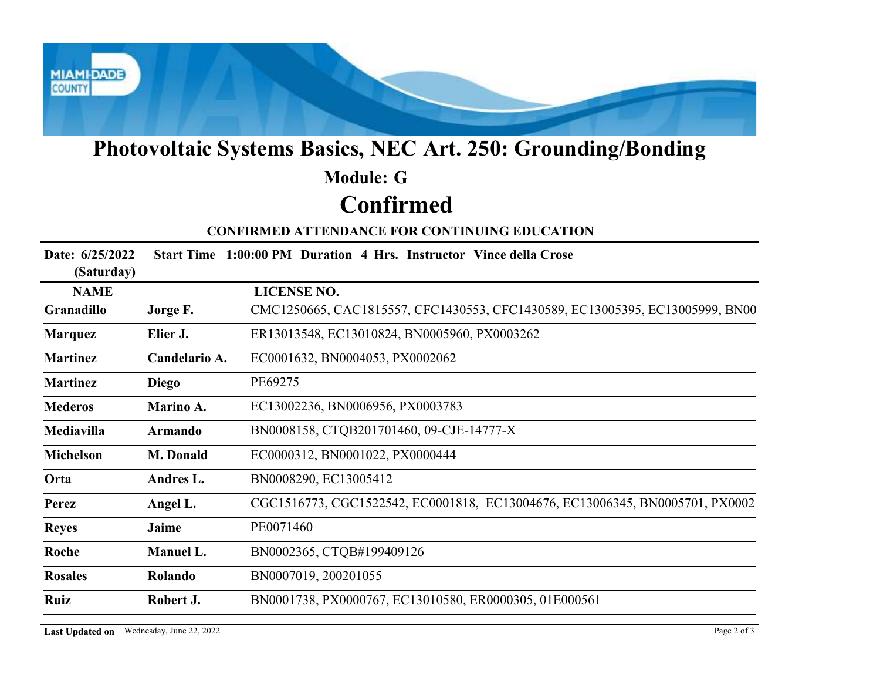

# Photovoltaic Systems Basics, NEC Art. 250: Grounding/Bonding

### Confirmed Module: G

|                                                      | <b>Photovoltaic Systems Basics, NEC Art. 250: Grounding/Bonding</b> |                                                                              |  |  |  |  |  |
|------------------------------------------------------|---------------------------------------------------------------------|------------------------------------------------------------------------------|--|--|--|--|--|
|                                                      |                                                                     | <b>Module: G</b>                                                             |  |  |  |  |  |
|                                                      |                                                                     | <b>Confirmed</b>                                                             |  |  |  |  |  |
| <b>CONFIRMED ATTENDANCE FOR CONTINUING EDUCATION</b> |                                                                     |                                                                              |  |  |  |  |  |
| Date: 6/25/2022<br>(Saturday)                        |                                                                     | Start Time 1:00:00 PM Duration 4 Hrs. Instructor Vince della Crose           |  |  |  |  |  |
| <b>NAME</b>                                          |                                                                     | <b>LICENSE NO.</b>                                                           |  |  |  |  |  |
| Granadillo                                           | Jorge F.                                                            | CMC1250665, CAC1815557, CFC1430553, CFC1430589, EC13005395, EC13005999, BN00 |  |  |  |  |  |
| <b>Marquez</b>                                       | Elier J.                                                            | ER13013548, EC13010824, BN0005960, PX0003262                                 |  |  |  |  |  |
| <b>Martinez</b>                                      | Candelario A.                                                       | EC0001632, BN0004053, PX0002062                                              |  |  |  |  |  |
| <b>Martinez</b>                                      | <b>Diego</b>                                                        | PE69275                                                                      |  |  |  |  |  |
| <b>Mederos</b>                                       | Marino A.                                                           | EC13002236, BN0006956, PX0003783                                             |  |  |  |  |  |
| <b>Mediavilla</b>                                    | <b>Armando</b>                                                      | BN0008158, CTQB201701460, 09-CJE-14777-X                                     |  |  |  |  |  |
| Michelson                                            | M. Donald                                                           | EC0000312, BN0001022, PX0000444                                              |  |  |  |  |  |
| Orta                                                 | Andres L.                                                           | BN0008290, EC13005412                                                        |  |  |  |  |  |
| <b>Perez</b>                                         | Angel L.                                                            | CGC1516773, CGC1522542, EC0001818, EC13004676, EC13006345, BN0005701, PX0002 |  |  |  |  |  |
| <b>Reyes</b>                                         | Jaime                                                               | PE0071460                                                                    |  |  |  |  |  |
| Roche                                                | Manuel L.                                                           | BN0002365, CTQB#199409126                                                    |  |  |  |  |  |
| <b>Rosales</b>                                       | Rolando                                                             | BN0007019, 200201055                                                         |  |  |  |  |  |
| Ruiz                                                 | Robert J.                                                           | BN0001738, PX0000767, EC13010580, ER0000305, 01E000561                       |  |  |  |  |  |
|                                                      | Last Updated on Wednesday, June 22, 2022                            | Page 2 of 3                                                                  |  |  |  |  |  |